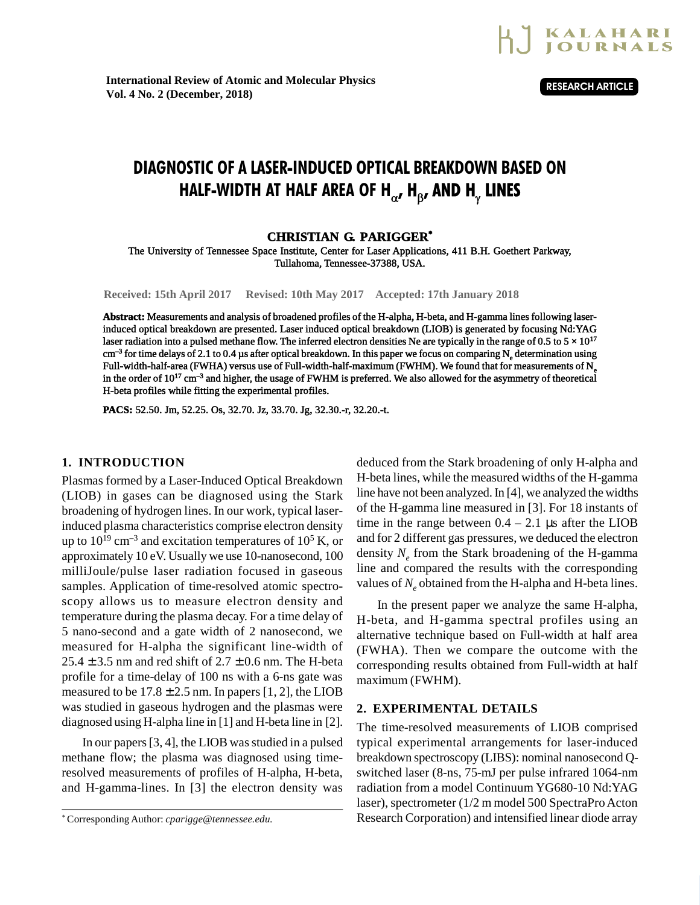

**International Review of Atomic and Molecular Physics Vol. 4 No. 2 (December, 2018)**

**RESEARCH ARTICLE**

# DIAGNOSTIC OF A LASER-INDUCED OPTICAL BREAKDOWN BASED ON HALF-WIDTH AT HALF AREA OF H $_{\alpha'}$  H $_{\beta}$ , AND H $_{\gamma}$  LINES

## **CHRISTIAN G. PARIGGER\***

The University of Tennessee Space Institute, Center for Laser Applications, 411 B.H. Goethert Parkway, Tullahoma, Tennessee-37388, USA.

**Received: 15th April 2017 Revised: 10th May 2017 Accepted: 17th January 2018**

**Abstract:** Measurements and analysis of broadened profiles of the H-alpha, H-beta, and H-gamma lines following laserinduced optical breakdown are presented. Laser induced optical breakdown (LIOB) is generated by focusing Nd:YAG laser radiation into a pulsed methane flow. The inferred electron densities Ne are typically in the range of 0.5 to  $5 \times 10^{17}$ cm<sup>–3</sup> for time delays of 2.1 to 0.4  $\mu$ s after optical breakdown. In this paper we focus on comparing N<sub>e</sub> determination using Full-width-half-area (FWHA) versus use of Full-width-half-maximum (FWHM). We found that for measurements of N<sub>e</sub> in the order of  $10^{17}$  cm<sup>-3</sup> and higher, the usage of FWHM is preferred. We also allowed for the asymmetry of theoretical H-beta profiles while fitting the experimental profiles.

**PACS:** 52.50. Jm, 52.25. Os, 32.70. Jz, 33.70. Jg, 32.30.-r, 32.20.-t.

## **1. INTRODUCTION**

Plasmas formed by a Laser-Induced Optical Breakdown (LIOB) in gases can be diagnosed using the Stark broadening of hydrogen lines. In our work, typical laserinduced plasma characteristics comprise electron density up to  $10^{19}$  cm<sup>-3</sup> and excitation temperatures of  $10^5$  K, or approximately 10 eV. Usually we use 10-nanosecond, 100 milliJoule/pulse laser radiation focused in gaseous samples. Application of time-resolved atomic spectroscopy allows us to measure electron density and temperature during the plasma decay. For a time delay of 5 nano-second and a gate width of 2 nanosecond, we measured for H-alpha the significant line-width of  $25.4 \pm 3.5$  nm and red shift of  $2.7 \pm 0.6$  nm. The H-beta profile for a time-delay of 100 ns with a 6-ns gate was measured to be  $17.8 \pm 2.5$  nm. In papers [1, 2], the LIOB was studied in gaseous hydrogen and the plasmas were diagnosed using H-alpha line in [1] and H-beta line in [2].

In our papers [3, 4], the LIOB was studied in a pulsed methane flow; the plasma was diagnosed using timeresolved measurements of profiles of H-alpha, H-beta, and H-gamma-lines. In [3] the electron density was deduced from the Stark broadening of only H-alpha and H-beta lines, while the measured widths of the H-gamma line have not been analyzed. In [4], we analyzed the widths of the H-gamma line measured in [3]. For 18 instants of time in the range between  $0.4 - 2.1$  µs after the LIOB and for 2 different gas pressures, we deduced the electron density *N<sup>e</sup>* from the Stark broadening of the H-gamma line and compared the results with the corresponding values of  $N_e$  obtained from the H-alpha and H-beta lines.

In the present paper we analyze the same H-alpha, H-beta, and H-gamma spectral profiles using an alternative technique based on Full-width at half area (FWHA). Then we compare the outcome with the corresponding results obtained from Full-width at half maximum (FWHM).

### **2. EXPERIMENTAL DETAILS**

The time-resolved measurements of LIOB comprised typical experimental arrangements for laser-induced breakdown spectroscopy (LIBS): nominal nanosecond Qswitched laser (8-ns, 75-mJ per pulse infrared 1064-nm radiation from a model Continuum YG680-10 Nd:YAG laser), spectrometer (1/2 m model 500 SpectraPro Acton Research Corporation) and intensified linear diode array

<sup>\*</sup>Corresponding Author: *cparigge@tennessee.edu.*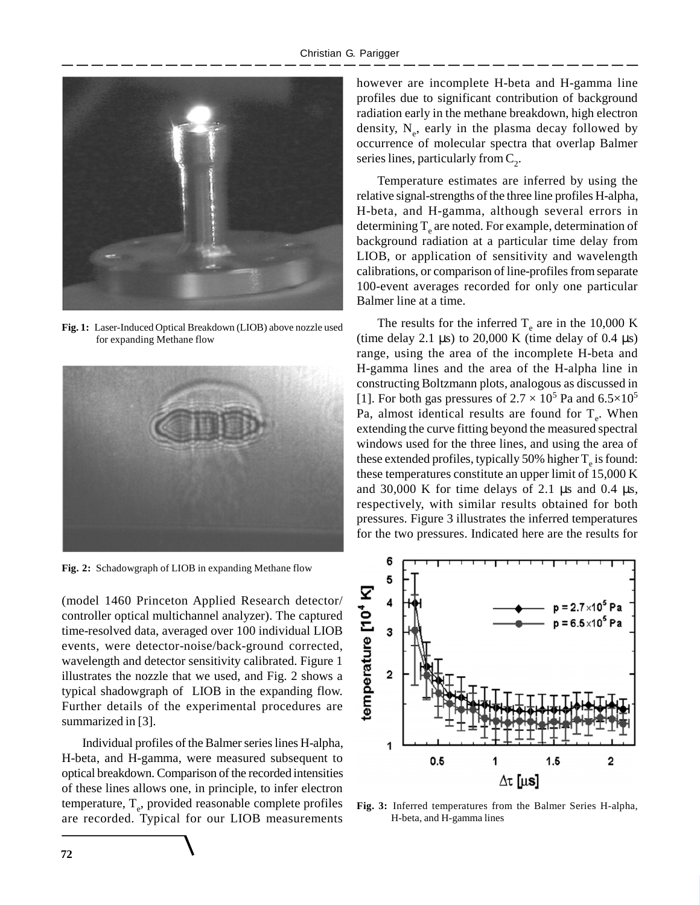

**Fig. 1:** Laser-Induced Optical Breakdown (LIOB) above nozzle used for expanding Methane flow



**Fig. 2:** Schadowgraph of LIOB in expanding Methane flow

(model 1460 Princeton Applied Research detector/ controller optical multichannel analyzer). The captured time-resolved data, averaged over 100 individual LIOB events, were detector-noise/back-ground corrected, wavelength and detector sensitivity calibrated. Figure 1 illustrates the nozzle that we used, and Fig. 2 shows a typical shadowgraph of LIOB in the expanding flow. Further details of the experimental procedures are summarized in [3].

Individual profiles of the Balmer series lines H-alpha, H-beta, and H-gamma, were measured subsequent to optical breakdown. Comparison of the recorded intensities of these lines allows one, in principle, to infer electron temperature, T<sub>e</sub>, provided reasonable complete profiles are recorded. Typical for our LIOB measurements

however are incomplete H-beta and H-gamma line profiles due to significant contribution of background radiation early in the methane breakdown, high electron density,  $N_e$ , early in the plasma decay followed by occurrence of molecular spectra that overlap Balmer series lines, particularly from  $C_2$ .

Temperature estimates are inferred by using the relative signal-strengths of the three line profiles H-alpha, H-beta, and H-gamma, although several errors in determining  $T_{\rm e}$  are noted. For example, determination of background radiation at a particular time delay from LIOB, or application of sensitivity and wavelength calibrations, or comparison of line-profiles from separate 100-event averages recorded for only one particular Balmer line at a time.

The results for the inferred  $T_e$  are in the 10,000 K (time delay 2.1  $\mu$ s) to 20,000 K (time delay of 0.4  $\mu$ s) range, using the area of the incomplete H-beta and H-gamma lines and the area of the H-alpha line in constructing Boltzmann plots, analogous as discussed in [1]. For both gas pressures of  $2.7 \times 10^5$  Pa and  $6.5 \times 10^5$ Pa, almost identical results are found for  $T_e$ . When extending the curve fitting beyond the measured spectral windows used for the three lines, and using the area of these extended profiles, typically 50% higher  $T_e$  is found: these temperatures constitute an upper limit of 15,000 K and 30,000 K for time delays of 2.1  $\mu$ s and 0.4  $\mu$ s, respectively, with similar results obtained for both pressures. Figure 3 illustrates the inferred temperatures for the two pressures. Indicated here are the results for



**Fig. 3:** Inferred temperatures from the Balmer Series H-alpha, H-beta, and H-gamma lines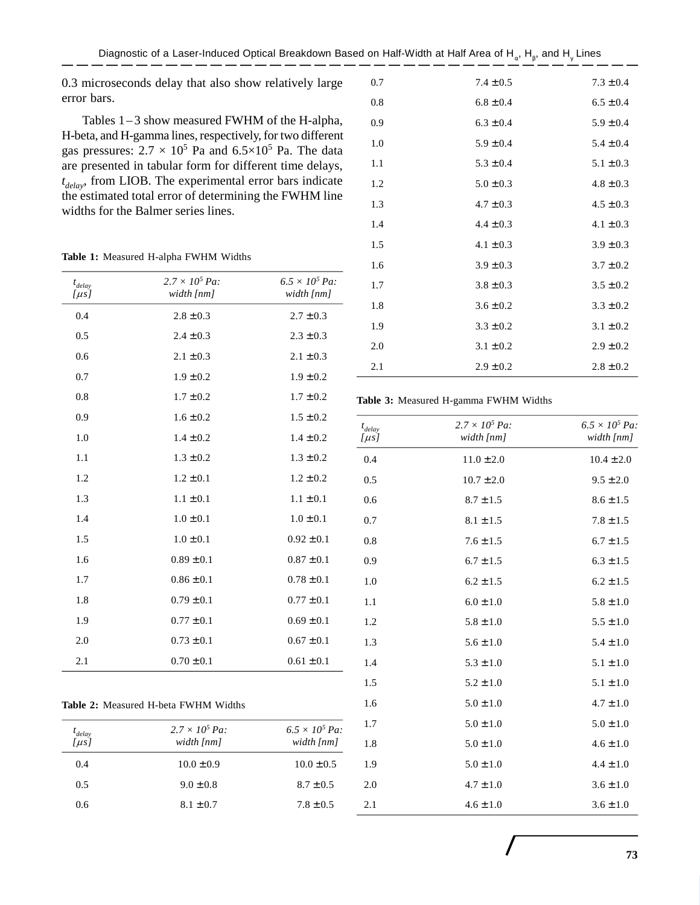0.3 microseconds delay that also show relatively large error bars.

Tables  $1-3$  show measured FWHM of the H-alpha, H-beta, and H-gamma lines, respectively, for two different gas pressures:  $2.7 \times 10^5$  Pa and  $6.5 \times 10^5$  Pa. The data are presented in tabular form for different time delays, *t delay*, from LIOB. The experimental error bars indicate the estimated total error of determining the FWHM line widths for the Balmer series lines.

|  |  | Table 1: Measured H-alpha FWHM Widths |  |  |  |
|--|--|---------------------------------------|--|--|--|
|--|--|---------------------------------------|--|--|--|

| $t_{delay}$<br>$\mu s$ | $2.7 \times 10^5$ Pa:<br>width [nm] | $6.5 \times 10^5$ Pa:<br>width [nm] |
|------------------------|-------------------------------------|-------------------------------------|
| 0.4                    | $2.8 \pm 0.3$                       | $2.7 \pm 0.3$                       |
| 0.5                    | $2.4 \pm 0.3$                       | $2.3 \pm 0.3$                       |
| 0.6                    | $2.1 \pm 0.3$                       | $2.1 \pm 0.3$                       |
| 0.7                    | $1.9 \pm 0.2$                       | $1.9 \pm 0.2$                       |
| 0.8                    | $1.7 \pm 0.2$                       | $1.7 \pm 0.2$                       |
| 0.9                    | $1.6 \pm 0.2$                       | $1.5 \pm 0.2$                       |
| 1.0                    | $1.4 \pm 0.2$                       | $1.4 \pm 0.2$                       |
| 1.1                    | $1.3 \pm 0.2$                       | $1.3 \pm 0.2$                       |
| 1.2                    | $1.2 \pm 0.1$                       | $1.2 \pm 0.2$                       |
| 1.3                    | $1.1 \pm 0.1$                       | $1.1 \pm 0.1$                       |
| 1.4                    | $1.0 \pm 0.1$                       | $1.0 \pm 0.1$                       |
| 1.5                    | $1.0 \pm 0.1$                       | $0.92 \pm 0.1$                      |
| 1.6                    | $0.89 \pm 0.1$                      | $0.87 \pm 0.1$                      |
| 1.7                    | $0.86 \pm 0.1$                      | $0.78 \pm 0.1$                      |
| 1.8                    | $0.79 \pm 0.1$                      | $0.77 \pm 0.1$                      |
| 1.9                    | $0.77 \pm 0.1$                      | $0.69 \pm 0.1$                      |
| 2.0                    | $0.73 \pm 0.1$                      | $0.67 \pm 0.1$                      |
| 2.1                    | $0.70 \pm 0.1$                      | $0.61 \pm 0.1$                      |

|  |  |  | <b>Table 2:</b> Measured H-beta FWHM Widths |  |  |  |
|--|--|--|---------------------------------------------|--|--|--|
|--|--|--|---------------------------------------------|--|--|--|

| t <sub>delay</sub><br>[μs] | $2.7 \times 10^5$ Pa:<br>width [nm] | $6.5 \times 10^5$ Pa:<br>width [nm] |
|----------------------------|-------------------------------------|-------------------------------------|
| 0.4                        | $10.0 \pm 0.9$                      | $10.0 \pm 0.5$                      |
| 0.5                        | $9.0 \pm 0.8$                       | $8.7 \pm 0.5$                       |
| 0.6                        | $8.1 \pm 0.7$                       | $7.8 \pm 0.5$                       |

|     | ------        |               |
|-----|---------------|---------------|
| 0.7 | $7.4 \pm 0.5$ | $7.3 \pm 0.4$ |
| 0.8 | $6.8 \pm 0.4$ | $6.5 \pm 0.4$ |
| 0.9 | $6.3 \pm 0.4$ | $5.9 \pm 0.4$ |
| 1.0 | $5.9 \pm 0.4$ | $5.4 \pm 0.4$ |
| 1.1 | $5.3 \pm 0.4$ | $5.1 \pm 0.3$ |
| 1.2 | $5.0 \pm 0.3$ | $4.8 \pm 0.3$ |
| 1.3 | $4.7 \pm 0.3$ | $4.5 \pm 0.3$ |
| 1.4 | $4.4 \pm 0.3$ | $4.1 \pm 0.3$ |
| 1.5 | $4.1 \pm 0.3$ | $3.9 \pm 0.3$ |
| 1.6 | $3.9 \pm 0.3$ | $3.7 \pm 0.2$ |
| 1.7 | $3.8 \pm 0.3$ | $3.5 \pm 0.2$ |
| 1.8 | $3.6 \pm 0.2$ | $3.3 \pm 0.2$ |
| 1.9 | $3.3 \pm 0.2$ | $3.1 \pm 0.2$ |
| 2.0 | $3.1 \pm 0.2$ | $2.9 \pm 0.2$ |
| 2.1 | $2.9 \pm 0.2$ | $2.8 \pm 0.2$ |

**Table 3:** Measured H-gamma FWHM Widths

| $t_{delay}$<br>[ $\mu s$ ] | $2.7 \times 10^5$ Pa:<br>width [nm] | $6.5 \times 10^5$ Pa:<br>width [nm] |
|----------------------------|-------------------------------------|-------------------------------------|
| 0.4                        | $11.0 \pm 2.0$                      | $10.4 \pm 2.0$                      |
| 0.5                        | $10.7 \pm 2.0$                      | $9.5 \pm 2.0$                       |
| 0.6                        | $8.7 \pm 1.5$                       | $8.6 \pm 1.5$                       |
| 0.7                        | $8.1 \pm 1.5$                       | $7.8 \pm 1.5$                       |
| 0.8                        | $7.6 \pm 1.5$                       | $6.7 \pm 1.5$                       |
| 0.9                        | $6.7 \pm 1.5$                       | $6.3 \pm 1.5$                       |
| 1.0                        | $6.2 \pm 1.5$                       | $6.2 \pm 1.5$                       |
| 1.1                        | $6.0 \pm 1.0$                       | $5.8 \pm 1.0$                       |
| 1.2                        | $5.8 \pm 1.0$                       | $5.5 \pm 1.0$                       |
| 1.3                        | $5.6 \pm 1.0$                       | $5.4 \pm 1.0$                       |
| 1.4                        | $5.3 \pm 1.0$                       | $5.1 \pm 1.0$                       |
| 1.5                        | $5.2 \pm 1.0$                       | $5.1 \pm 1.0$                       |
| 1.6                        | $5.0 \pm 1.0$                       | $4.7 \pm 1.0$                       |
| 1.7                        | $5.0 \pm 1.0$                       | $5.0 \pm 1.0$                       |
| 1.8                        | $5.0 \pm 1.0$                       | $4.6 \pm 1.0$                       |
| 1.9                        | $5.0 \pm 1.0$                       | $4.4 \pm 1.0$                       |
| 2.0                        | $4.7 \pm 1.0$                       | $3.6 \pm 1.0$                       |
| 2.1                        | $4.6 \pm 1.0$                       | $3.6 \pm 1.0$                       |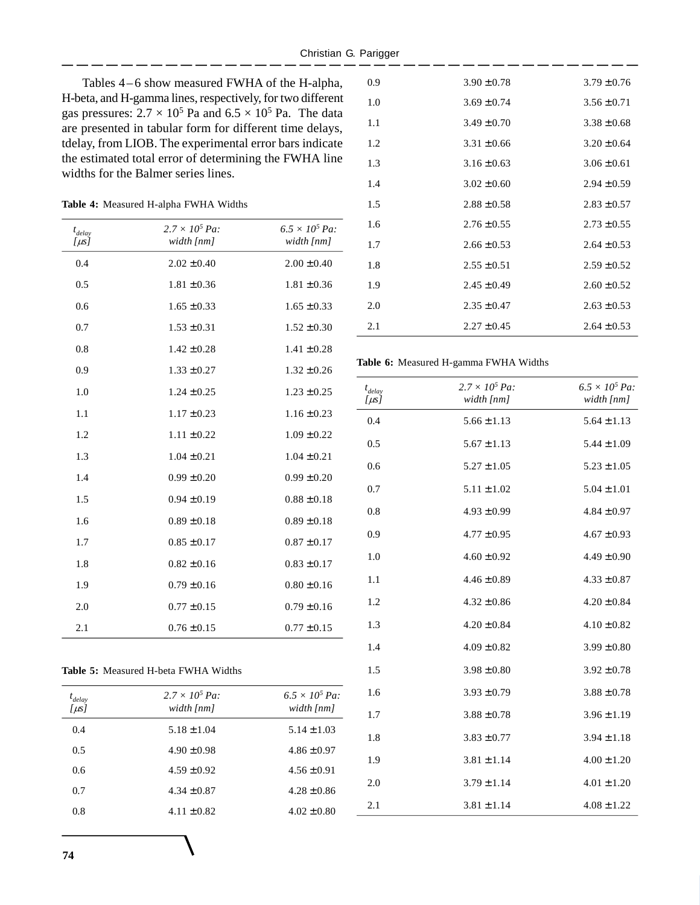Tables  $4-6$  show measured FWHA of the H-alpha, H-beta, and H-gamma lines, respectively, for two different gas pressures:  $2.7 \times 10^5$  Pa and  $6.5 \times 10^5$  Pa. The data are presented in tabular form for different time delays, tdelay, from LIOB. The experimental error bars indicate the estimated total error of determining the FWHA line widths for the Balmer series lines.

#### **Table 4:** Measured H-alpha FWHA Widths

| $t_{delay}$<br>[ $\mu s$ ] | $2.7 \times 10^5$ Pa:<br>width [nm] | $6.5 \times 10^5$ Pa:<br>width [nm] |
|----------------------------|-------------------------------------|-------------------------------------|
| 0.4                        | $2.02 \pm 0.40$                     | $2.00 \pm 0.40$                     |
| 0.5                        | $1.81 \pm 0.36$                     | $1.81 \pm 0.36$                     |
| 0.6                        | $1.65 \pm 0.33$                     | $1.65 \pm 0.33$                     |
| 0.7                        | $1.53 \pm 0.31$                     | $1.52 \pm 0.30$                     |
| 0.8                        | $1.42 \pm 0.28$                     | $1.41 \pm 0.28$                     |
| 0.9                        | $1.33 \pm 0.27$                     | $1.32 \pm 0.26$                     |
| 1.0                        | $1.24 \pm 0.25$                     | $1.23 \pm 0.25$                     |
| 1.1                        | $1.17 \pm 0.23$                     | $1.16 \pm 0.23$                     |
| 1.2                        | $1.11 \pm 0.22$                     | $1.09 \pm 0.22$                     |
| 1.3                        | $1.04 \pm 0.21$                     | $1.04 \pm 0.21$                     |
| 1.4                        | $0.99 \pm 0.20$                     | $0.99 \pm 0.20$                     |
| 1.5                        | $0.94 \pm 0.19$                     | $0.88 \pm 0.18$                     |
| 1.6                        | $0.89 \pm 0.18$                     | $0.89 \pm 0.18$                     |
| 1.7                        | $0.85 \pm 0.17$                     | $0.87 \pm 0.17$                     |
| 1.8                        | $0.82 \pm 0.16$                     | $0.83 \pm 0.17$                     |
| 1.9                        | $0.79 \pm 0.16$                     | $0.80 \pm 0.16$                     |
| 2.0                        | $0.77 \pm 0.15$                     | $0.79 \pm 0.16$                     |
| 2.1                        | $0.76 \pm 0.15$                     | $0.77 \pm 0.15$                     |

| delay<br>[µs] | $2.7 \times 10^5$ Pa:<br>width [nm] | $6.5 \times 10^5$ Pa:<br>width [nm] |
|---------------|-------------------------------------|-------------------------------------|
| 0.4           | $5.18 \pm 1.04$                     | $5.14 \pm 1.03$                     |
| 0.5           | $4.90 \pm 0.98$                     | $4.86 \pm 0.97$                     |
| 0.6           | $4.59 \pm 0.92$                     | $4.56 \pm 0.91$                     |
| 0.7           | $4.34 \pm 0.87$                     | $4.28 \pm 0.86$                     |
| 0.8           | $4.11 \pm 0.82$                     | $4.02 \pm 0.80$                     |
|               |                                     |                                     |

| 0.9 | $3.90 \pm 0.78$ | $3.79 \pm 0.76$ |
|-----|-----------------|-----------------|
| 1.0 | $3.69 \pm 0.74$ | $3.56 \pm 0.71$ |
| 1.1 | $3.49 \pm 0.70$ | $3.38 \pm 0.68$ |
| 1.2 | $3.31 \pm 0.66$ | $3.20 \pm 0.64$ |
| 1.3 | $3.16 \pm 0.63$ | $3.06 \pm 0.61$ |
| 1.4 | $3.02 \pm 0.60$ | $2.94 \pm 0.59$ |
| 1.5 | $2.88 \pm 0.58$ | $2.83 \pm 0.57$ |
| 1.6 | $2.76 \pm 0.55$ | $2.73 \pm 0.55$ |
| 1.7 | $2.66 \pm 0.53$ | $2.64 \pm 0.53$ |
| 1.8 | $2.55 \pm 0.51$ | $2.59 \pm 0.52$ |
| 1.9 | $2.45 \pm 0.49$ | $2.60 \pm 0.52$ |
| 2.0 | $2.35 \pm 0.47$ | $2.63 \pm 0.53$ |
| 2.1 | $2.27 \pm 0.45$ | $2.64 \pm 0.53$ |

#### **Table 6:** Measured H-gamma FWHA Widths

| $t_{delay}$<br>$[\mu s]$ | $2.7 \times 10^5$ Pa:<br>width [nm] | $6.5 \times 10^5$ Pa:<br>width [nm] |
|--------------------------|-------------------------------------|-------------------------------------|
| 0.4                      | $5.66 \pm 1.13$                     | $5.64 \pm 1.13$                     |
| 0.5                      | $5.67 \pm 1.13$                     | $5.44 \pm 1.09$                     |
| 0.6                      | $5.27 \pm 1.05$                     | $5.23 \pm 1.05$                     |
| 0.7                      | $5.11 \pm 1.02$                     | $5.04 \pm 1.01$                     |
| 0.8                      | $4.93 \pm 0.99$                     | $4.84 \pm 0.97$                     |
| 0.9                      | $4.77 \pm 0.95$                     | $4.67 \pm 0.93$                     |
| 1.0                      | $4.60 \pm 0.92$                     | $4.49 \pm 0.90$                     |
| 1.1                      | $4.46 \pm 0.89$                     | $4.33 \pm 0.87$                     |
| 1.2                      | $4.32 \pm 0.86$                     | $4.20 \pm 0.84$                     |
| 1.3                      | $4.20 \pm 0.84$                     | $4.10 \pm 0.82$                     |
| 1.4                      | $4.09 \pm 0.82$                     | $3.99 \pm 0.80$                     |
| 1.5                      | $3.98 \pm 0.80$                     | $3.92 \pm 0.78$                     |
| 1.6                      | $3.93 \pm 0.79$                     | $3.88 \pm 0.78$                     |
| 1.7                      | $3.88 \pm 0.78$                     | $3.96 \pm 1.19$                     |
| 1.8                      | $3.83 \pm 0.77$                     | $3.94 \pm 1.18$                     |
| 1.9                      | $3.81 \pm 1.14$                     | $4.00 \pm 1.20$                     |
| 2.0                      | $3.79 \pm 1.14$                     | $4.01 \pm 1.20$                     |
| 2.1                      | $3.81 \pm 1.14$                     | $4.08 \pm 1.22$                     |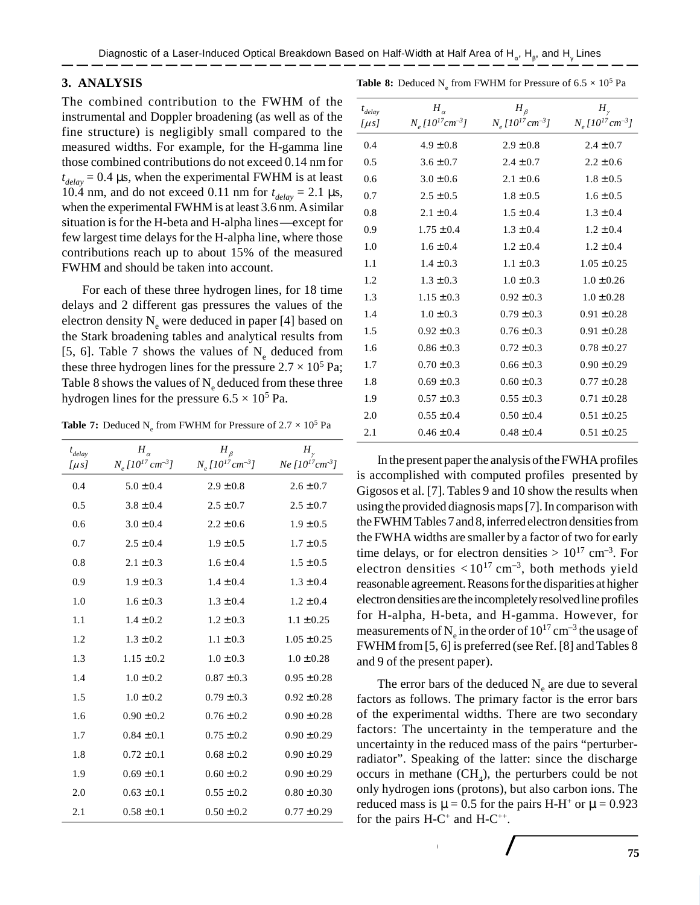## **3. ANALYSIS**

**Table 8:** Deduced  $N_e$  from FWHM for Pressure of  $6.5 \times 10^5$  Pa

The combined contribution to the FWHM of the instrumental and Doppler broadening (as well as of the fine structure) is negligibly small compared to the measured widths. For example, for the H-gamma line those combined contributions do not exceed 0.14 nm for  $t_{delay} = 0.4 \,\mu s$ , when the experimental FWHM is at least 10.4 nm, and do not exceed 0.11 nm for  $t_{delay} = 2.1 \,\mu s$ , when the experimental FWHM is at least 3.6 nm. A similar situation is for the H-beta and H-alpha lines—except for few largest time delays for the H-alpha line, where those contributions reach up to about 15% of the measured FWHM and should be taken into account.

For each of these three hydrogen lines, for 18 time delays and 2 different gas pressures the values of the electron density  $N_e$  were deduced in paper [4] based on the Stark broadening tables and analytical results from [5, 6]. Table 7 shows the values of  $N_e$  deduced from these three hydrogen lines for the pressure  $2.7 \times 10^5$  Pa; Table 8 shows the values of  $N_e$  deduced from these three hydrogen lines for the pressure  $6.5 \times 10^5$  Pa.

**Table 7:** Deduced  $N_e$  from FWHM for Pressure of  $2.7 \times 10^5$  Pa

| $t_{delay}$<br>[ $\mu$ s] | $H_{\alpha}$<br>$N_e$ [10 <sup>17</sup> cm <sup>-3</sup> ] | $H_{\beta}$<br>$N_e[10^{17}cm^{-3}]$ | $H_{\gamma}$<br>$Ne [10^{17} cm^{-3}]$ |
|---------------------------|------------------------------------------------------------|--------------------------------------|----------------------------------------|
| 0.4                       | $5.0 \pm 0.4$                                              | $2.9 \pm 0.8$                        | $2.6 \pm 0.7$                          |
| 0.5                       | $3.8 \pm 0.4$                                              | $2.5 \pm 0.7$                        | $2.5 \pm 0.7$                          |
| 0.6                       | $3.0 \pm 0.4$                                              | $2.2 \pm 0.6$                        | $1.9 \pm 0.5$                          |
| 0.7                       | $2.5 \pm 0.4$                                              | $1.9 \pm 0.5$                        | $1.7 \pm 0.5$                          |
| 0.8                       | $2.1 \pm 0.3$                                              | $1.6 \pm 0.4$                        | $1.5 \pm 0.5$                          |
| 0.9                       | $1.9 \pm 0.3$                                              | $1.4 \pm 0.4$                        | $1.3 \pm 0.4$                          |
| 1.0                       | $1.6 \pm 0.3$                                              | $1.3 \pm 0.4$                        | $1.2 \pm 0.4$                          |
| 1.1                       | $1.4 \pm 0.2$                                              | $1.2 \pm 0.3$                        | $1.1 \pm 0.25$                         |
| 1.2                       | $1.3 \pm 0.2$                                              | $1.1 \pm 0.3$                        | $1.05 \pm 0.25$                        |
| 1.3                       | $1.15 \pm 0.2$                                             | $1.0 \pm 0.3$                        | $1.0 \pm 0.28$                         |
| 1.4                       | $1.0 \pm 0.2$                                              | $0.87 \pm 0.3$                       | $0.95 \pm 0.28$                        |
| 1.5                       | $1.0 \pm 0.2$                                              | $0.79 \pm 0.3$                       | $0.92 \pm 0.28$                        |
| 1.6                       | $0.90 \pm 0.2$                                             | $0.76 \pm 0.2$                       | $0.90 \pm 0.28$                        |
| 1.7                       | $0.84 \pm 0.1$                                             | $0.75 \pm 0.2$                       | $0.90 \pm 0.29$                        |
| 1.8                       | $0.72 \pm 0.1$                                             | $0.68 \pm 0.2$                       | $0.90 \pm 0.29$                        |
| 1.9                       | $0.69 \pm 0.1$                                             | $0.60 \pm 0.2$                       | $0.90 \pm 0.29$                        |
| 2.0                       | $0.63 \pm 0.1$                                             | $0.55 \pm 0.2$                       | $0.80 \pm 0.30$                        |
| 2.1                       | $0.58 \pm 0.1$                                             | $0.50 \pm 0.2$                       | $0.77 \pm 0.29$                        |

| $t_{delay}$<br>[ $\mu s$ ] | $H_{\alpha}$<br>$N_e[10^{17}cm^{-3}]$ | $H_{\beta}$<br>$N_e$ [10 <sup>17</sup> cm <sup>-3</sup> ] | $H_{\nu}$<br>$N_e$ [10 <sup>17</sup> cm <sup>-3</sup> ] |
|----------------------------|---------------------------------------|-----------------------------------------------------------|---------------------------------------------------------|
| 0.4                        | $4.9 \pm 0.8$                         | $2.9 \pm 0.8$                                             | $2.4 \pm 0.7$                                           |
| 0.5                        | $3.6 \pm 0.7$                         | $2.4 \pm 0.7$                                             | $2.2 \pm 0.6$                                           |
| 0.6                        | $3.0 \pm 0.6$                         | $2.1 \pm 0.6$                                             | $1.8 \pm 0.5$                                           |
| 0.7                        | $2.5 \pm 0.5$                         | $1.8 \pm 0.5$                                             | $1.6 \pm 0.5$                                           |
| 0.8                        | $2.1 \pm 0.4$                         | $1.5 \pm 0.4$                                             | $1.3 \pm 0.4$                                           |
| 0.9                        | $1.75 \pm 0.4$                        | $1.3 \pm 0.4$                                             | $1.2 \pm 0.4$                                           |
| 1.0                        | $1.6 \pm 0.4$                         | $1.2 \pm 0.4$                                             | $1.2 \pm 0.4$                                           |
| 1.1                        | $1.4 \pm 0.3$                         | $1.1 \pm 0.3$                                             | $1.05 \pm 0.25$                                         |
| 1.2                        | $1.3 \pm 0.3$                         | $1.0 \pm 0.3$                                             | $1.0 \pm 0.26$                                          |
| 1.3                        | $1.15 \pm 0.3$                        | $0.92 \pm 0.3$                                            | $1.0 \pm 0.28$                                          |
| 1.4                        | $1.0 \pm 0.3$                         | $0.79 \pm 0.3$                                            | $0.91 \pm 0.28$                                         |
| 1.5                        | $0.92 \pm 0.3$                        | $0.76 \pm 0.3$                                            | $0.91 \pm 0.28$                                         |
| 1.6                        | $0.86 \pm 0.3$                        | $0.72 \pm 0.3$                                            | $0.78 \pm 0.27$                                         |
| 1.7                        | $0.70 \pm 0.3$                        | $0.66 \pm 0.3$                                            | $0.90 \pm 0.29$                                         |
| 1.8                        | $0.69 \pm 0.3$                        | $0.60 \pm 0.3$                                            | $0.77 \pm 0.28$                                         |
| 1.9                        | $0.57 \pm 0.3$                        | $0.55 \pm 0.3$                                            | $0.71 \pm 0.28$                                         |
| 2.0                        | $0.55 \pm 0.4$                        | $0.50 \pm 0.4$                                            | $0.51 \pm 0.25$                                         |
| 2.1                        | $0.46 \pm 0.4$                        | $0.48 \pm 0.4$                                            | $0.51 \pm 0.25$                                         |

In the present paper the analysis of the FWHA profiles is accomplished with computed profiles presented by Gigosos et al. [7]. Tables 9 and 10 show the results when using the provided diagnosis maps [7]. In comparison with the FWHM Tables 7 and 8, inferred electron densities from the FWHA widths are smaller by a factor of two for early time delays, or for electron densities  $> 10^{17}$  cm<sup>-3</sup>. For electron densities  $\langle 10^{17} \text{ cm}^{-3}$ , both methods yield reasonable agreement. Reasons for the disparities at higher electron densities are the incompletely resolved line profiles for H-alpha, H-beta, and H-gamma. However, for measurements of  $N_e$  in the order of  $10^{17}$  cm<sup>-3</sup> the usage of FWHM from [5, 6] is preferred (see Ref. [8] and Tables 8 and 9 of the present paper).

The error bars of the deduced  $N_e$  are due to several factors as follows. The primary factor is the error bars of the experimental widths. There are two secondary factors: The uncertainty in the temperature and the uncertainty in the reduced mass of the pairs "perturberradiator". Speaking of the latter: since the discharge occurs in methane  $(CH_4)$ , the perturbers could be not only hydrogen ions (protons), but also carbon ions. The reduced mass is  $\mu = 0.5$  for the pairs H-H<sup>+</sup> or  $\mu = 0.923$ for the pairs  $H-C^+$  and  $H-C^{++}$ .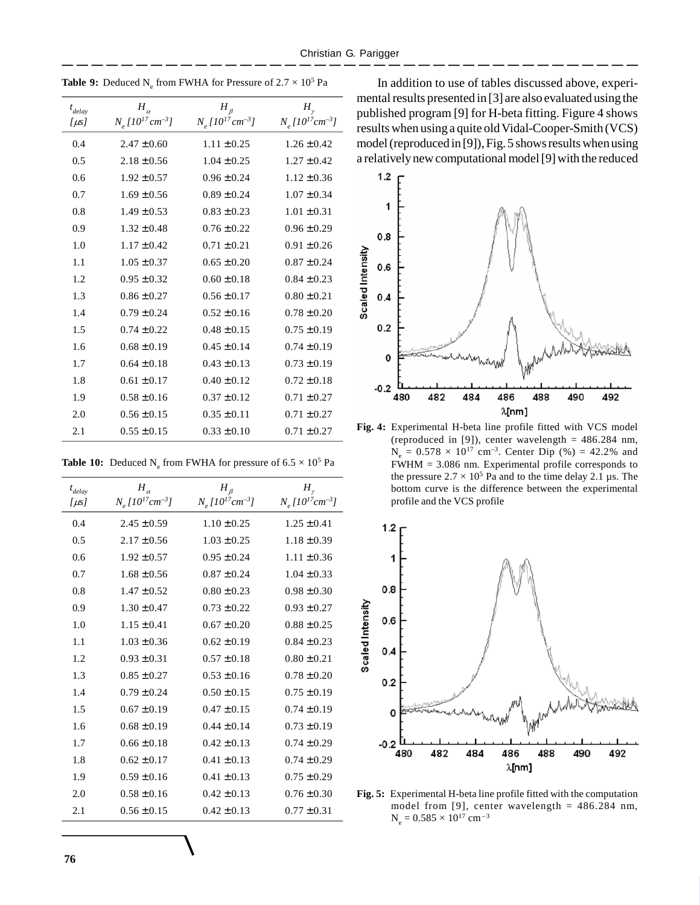| $t_{delay}$<br>$[\mu s]$ | $H_{\alpha}$<br>$N_e$ [10 <sup>17</sup> cm <sup>-3</sup> ] | $H_{\beta}$<br>$N_e$ [10 <sup>17</sup> cm <sup>-3</sup> ] | $H_{\nu}$<br>$N_e[10^{17}cm^{-3}]$ |
|--------------------------|------------------------------------------------------------|-----------------------------------------------------------|------------------------------------|
| 0.4                      | $2.47 \pm 0.60$                                            | $1.11 \pm 0.25$                                           | $1.26 \pm 0.42$                    |
| 0.5                      | $2.18 \pm 0.56$                                            | $1.04 \pm 0.25$                                           | $1.27 \pm 0.42$                    |
| 0.6                      | $1.92 \pm 0.57$                                            | $0.96 \pm 0.24$                                           | $1.12 \pm 0.36$                    |
| 0.7                      | $1.69 \pm 0.56$                                            | $0.89 \pm 0.24$                                           | $1.07 \pm 0.34$                    |
| 0.8                      | $1.49 \pm 0.53$                                            | $0.83 \pm 0.23$                                           | $1.01 \pm 0.31$                    |
| 0.9                      | $1.32 \pm 0.48$                                            | $0.76 \pm 0.22$                                           | $0.96 \pm 0.29$                    |
| 1.0                      | $1.17 \pm 0.42$                                            | $0.71 \pm 0.21$                                           | $0.91 \pm 0.26$                    |
| 1.1                      | $1.05 \pm 0.37$                                            | $0.65 \pm 0.20$                                           | $0.87 \pm 0.24$                    |
| 1.2                      | $0.95 \pm 0.32$                                            | $0.60 \pm 0.18$                                           | $0.84 \pm 0.23$                    |
| 1.3                      | $0.86 \pm 0.27$                                            | $0.56 \pm 0.17$                                           | $0.80 \pm 0.21$                    |
| 1.4                      | $0.79 \pm 0.24$                                            | $0.52 \pm 0.16$                                           | $0.78 \pm 0.20$                    |
| 1.5                      | $0.74 \pm 0.22$                                            | $0.48 \pm 0.15$                                           | $0.75 \pm 0.19$                    |
| 1.6                      | $0.68 \pm 0.19$                                            | $0.45 \pm 0.14$                                           | $0.74 \pm 0.19$                    |
| 1.7                      | $0.64 \pm 0.18$                                            | $0.43 \pm 0.13$                                           | $0.73 \pm 0.19$                    |
| 1.8                      | $0.61 \pm 0.17$                                            | $0.40 \pm 0.12$                                           | $0.72 \pm 0.18$                    |
| 1.9                      | $0.58 \pm 0.16$                                            | $0.37 \pm 0.12$                                           | $0.71 \pm 0.27$                    |
| 2.0                      | $0.56 \pm 0.15$                                            | $0.35 \pm 0.11$                                           | $0.71 \pm 0.27$                    |
| 2.1                      | $0.55 \pm 0.15$                                            | $0.33 \pm 0.10$                                           | $0.71 \pm 0.27$                    |

**Table 9:** Deduced  $N_e$  from FWHA for Pressure of  $2.7 \times 10^5$  Pa

**Table 10:** Deduced  $N_e$  from FWHA for pressure of  $6.5 \times 10^5$  Pa

| $t_{delay}$ | $H_{\alpha}$                               | $H_{\beta}$                                | $H_{\scriptscriptstyle\gamma}$             |
|-------------|--------------------------------------------|--------------------------------------------|--------------------------------------------|
| [µs]        | $N_e$ [10 <sup>17</sup> cm <sup>-3</sup> ] | $N_e$ [10 <sup>17</sup> cm <sup>-3</sup> ] | $N_e$ [10 <sup>17</sup> cm <sup>-3</sup> ] |
| 0.4         | $2.45 \pm 0.59$                            | $1.10 \pm 0.25$                            | $1.25 \pm 0.41$                            |
| 0.5         | $2.17 \pm 0.56$                            | $1.03 \pm 0.25$                            | $1.18 \pm 0.39$                            |
| 0.6         | $1.92 \pm 0.57$                            | $0.95 \pm 0.24$                            | $1.11 \pm 0.36$                            |
| 0.7         | $1.68 \pm 0.56$                            | $0.87 \pm 0.24$                            | $1.04 \pm 0.33$                            |
| 0.8         | $1.47 \pm 0.52$                            | $0.80 \pm 0.23$                            | $0.98 \pm 0.30$                            |
| 0.9         | $1.30 \pm 0.47$                            | $0.73 \pm 0.22$                            | $0.93 \pm 0.27$                            |
| 1.0         | $1.15 \pm 0.41$                            | $0.67 \pm 0.20$                            | $0.88 \pm 0.25$                            |
| 1.1         | $1.03 \pm 0.36$                            | $0.62 \pm 0.19$                            | $0.84 \pm 0.23$                            |
| 1.2         | $0.93 \pm 0.31$                            | $0.57 \pm 0.18$                            | $0.80 \pm 0.21$                            |
| 1.3         | $0.85 \pm 0.27$                            | $0.53 \pm 0.16$                            | $0.78 \pm 0.20$                            |
| 1.4         | $0.79 \pm 0.24$                            | $0.50 \pm 0.15$                            | $0.75 \pm 0.19$                            |
| 1.5         | $0.67 \pm 0.19$                            | $0.47 \pm 0.15$                            | $0.74 \pm 0.19$                            |
| 1.6         | $0.68 \pm 0.19$                            | $0.44 \pm 0.14$                            | $0.73 \pm 0.19$                            |
| 1.7         | $0.66 \pm 0.18$                            | $0.42 \pm 0.13$                            | $0.74 \pm 0.29$                            |
| 1.8         | $0.62 \pm 0.17$                            | $0.41 \pm 0.13$                            | $0.74 \pm 0.29$                            |
| 1.9         | $0.59 \pm 0.16$                            | $0.41 \pm 0.13$                            | $0.75 \pm 0.29$                            |
| 2.0         | $0.58 \pm 0.16$                            | $0.42 \pm 0.13$                            | $0.76 \pm 0.30$                            |
| 2.1         | $0.56 \pm 0.15$                            | $0.42 \pm 0.13$                            | $0.77 \pm 0.31$                            |

In addition to use of tables discussed above, experimental results presented in [3] are also evaluated using the published program [9] for H-beta fitting. Figure 4 shows results when using a quite old Vidal-Cooper-Smith (VCS) model (reproduced in [9]), Fig. 5 shows results when using a relatively new computational model [9] with the reduced



Fig. 4: Experimental H-beta line profile fitted with VCS model (reproduced in [9]), center wavelength =  $486.284$  nm,  $N_e = 0.578 \times 10^{17}$  cm<sup>-3</sup>. Center Dip (%) = 42.2% and FWHM = 3.086 nm. Experimental profile corresponds to the pressure  $2.7 \times 10^5$  Pa and to the time delay 2.1 µs. The bottom curve is the difference between the experimental profile and the VCS profile



**Fig. 5:** Experimental H-beta line profile fitted with the computation model from [9], center wavelength = 486.284 nm,  $N_e = 0.585 \times 10^{17}$  cm<sup>-3</sup>

**134** International Review of Atomic and Molecular Physics, 1 (2), July-December 2010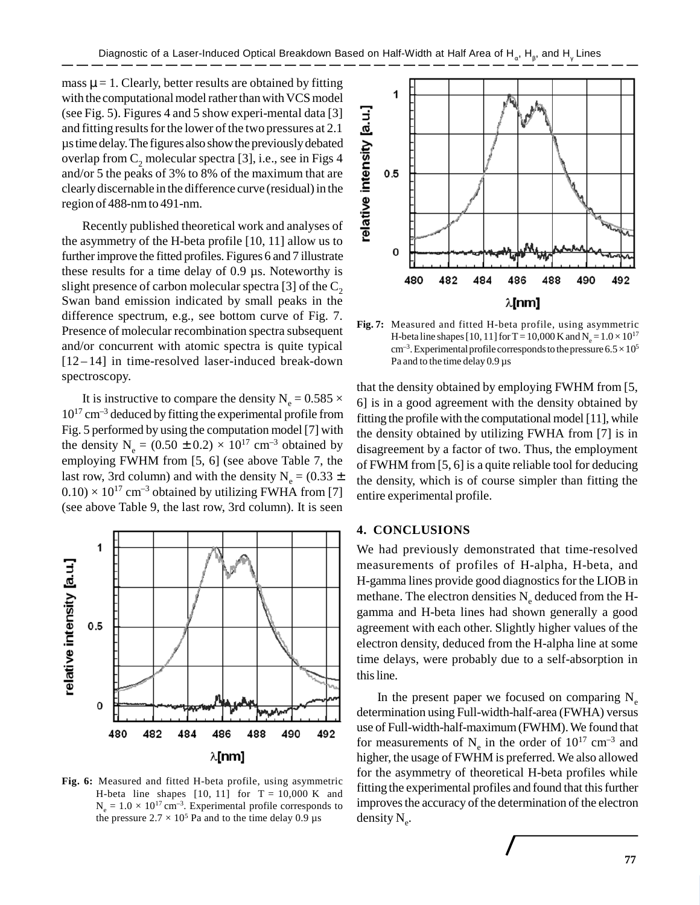mass  $\mu$  = 1. Clearly, better results are obtained by fitting with the computational model rather than with VCS model (see Fig. 5). Figures 4 and 5 show experi-mental data [3] and fitting results for the lower of the two pressures at 2.1 µs time delay. The figures also show the previously debated overlap from  $C_2$  molecular spectra [3], i.e., see in Figs 4 and/or 5 the peaks of 3% to 8% of the maximum that are clearly discernable in the difference curve (residual) in the region of 488-nm to 491-nm.

Recently published theoretical work and analyses of the asymmetry of the H-beta profile [10, 11] allow us to further improve the fitted profiles. Figures 6 and 7 illustrate these results for a time delay of 0.9 µs. Noteworthy is slight presence of carbon molecular spectra [3] of the  $C_2$ Swan band emission indicated by small peaks in the difference spectrum, e.g., see bottom curve of Fig. 7. Presence of molecular recombination spectra subsequent and/or concurrent with atomic spectra is quite typical [12 – 14] in time-resolved laser-induced break-down spectroscopy.

It is instructive to compare the density  $N_e = 0.585 \times$  $10^{17}$  cm<sup>-3</sup> deduced by fitting the experimental profile from Fig. 5 performed by using the computation model [7] with the density  $N_e = (0.50 \pm 0.2) \times 10^{17}$  cm<sup>-3</sup> obtained by employing FWHM from [5, 6] (see above Table 7, the last row, 3rd column) and with the density  $N_e = (0.33 \pm 0.33)$  $(0.10) \times 10^{17}$  cm<sup>-3</sup> obtained by utilizing FWHA from [7] (see above Table 9, the last row, 3rd column). It is seen



**Fig. 6:** Measured and fitted H-beta profile, using asymmetric H-beta line shapes  $[10, 11]$  for  $T = 10,000$  K and  $N_e = 1.0 \times 10^{17}$  cm<sup>-3</sup>. Experimental profile corresponds to the pressure  $2.7 \times 10^5$  Pa and to the time delay 0.9 µs



**Fig. 7:** Measured and fitted H-beta profile, using asymmetric H-beta line shapes [10, 11] for T = 10,000 K and N<sub>e</sub> =  $1.0 \times 10^{17}$  $cm^{-3}$ . Experimental profile corresponds to the pressure  $6.5 \times 10^5$ Pa and to the time delay 0.9 µs

that the density obtained by employing FWHM from [5, 6] is in a good agreement with the density obtained by fitting the profile with the computational model [11], while the density obtained by utilizing FWHA from [7] is in disagreement by a factor of two. Thus, the employment of FWHM from [5, 6] is a quite reliable tool for deducing the density, which is of course simpler than fitting the entire experimental profile.

## **4. CONCLUSIONS**

International Review of Atomic and Molecular Physics, 1 (2), July-December 2010 **135**

We had previously demonstrated that time-resolved measurements of profiles of H-alpha, H-beta, and H-gamma lines provide good diagnostics for the LIOB in methane. The electron densities  $N_e$  deduced from the Hgamma and H-beta lines had shown generally a good agreement with each other. Slightly higher values of the electron density, deduced from the H-alpha line at some time delays, were probably due to a self-absorption in this line.

In the present paper we focused on comparing  $N_e$ determination using Full-width-half-area (FWHA) versus use of Full-width-half-maximum (FWHM). We found that for measurements of  $N_e$  in the order of  $10^{17}$  cm<sup>-3</sup> and higher, the usage of FWHM is preferred. We also allowed for the asymmetry of theoretical H-beta profiles while fitting the experimental profiles and found that this further improves the accuracy of the determination of the electron density  $N_e$ .